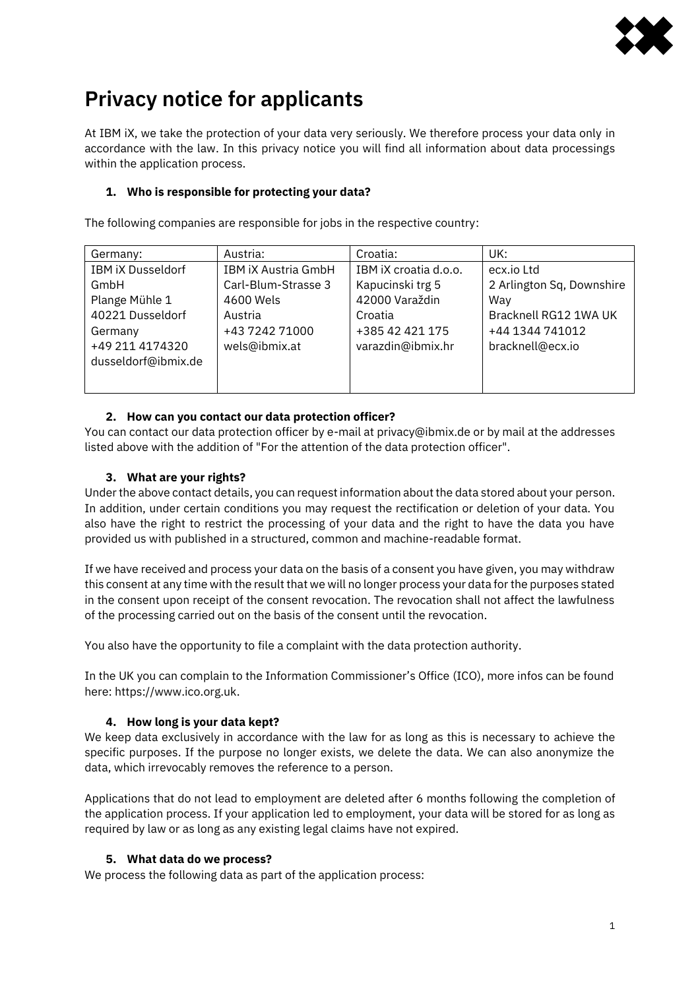

# **Privacy notice for applicants**

At IBM iX, we take the protection of your data very seriously. We therefore process your data only in accordance with the law. In this privacy notice you will find all information about data processings within the application process.

# **1. Who is responsible for protecting your data?**

The following companies are responsible for jobs in the respective country:

| Germany:                 | Austria:                   | Croatia:              | UK:                       |
|--------------------------|----------------------------|-----------------------|---------------------------|
| <b>IBM iX Dusseldorf</b> | <b>IBM IX Austria GmbH</b> | IBM IX croatia d.o.o. | ecx.io Ltd                |
| GmbH                     | Carl-Blum-Strasse 3        | Kapucinski trg 5      | 2 Arlington Sq, Downshire |
| Plange Mühle 1           | 4600 Wels                  | 42000 Varaždin        | Way                       |
| 40221 Dusseldorf         | Austria                    | Croatia               | Bracknell RG12 1WA UK     |
| Germany                  | +43 7242 71000             | +385 42 421 175       | +44 1344 741012           |
| +49 211 4174320          | wels@ibmix.at              | varazdin@ibmix.hr     | bracknell@ecx.io          |
| dusseldorf@ibmix.de      |                            |                       |                           |
|                          |                            |                       |                           |
|                          |                            |                       |                           |

## **2. How can you contact our data protection officer?**

You can contact our data protection officer by e-mail at privacy@ibmix.de or by mail at the addresses listed above with the addition of "For the attention of the data protection officer".

## **3. What are your rights?**

Under the above contact details, you can request information about the data stored about your person. In addition, under certain conditions you may request the rectification or deletion of your data. You also have the right to restrict the processing of your data and the right to have the data you have provided us with published in a structured, common and machine-readable format.

If we have received and process your data on the basis of a consent you have given, you may withdraw this consent at any time with the result that we will no longer process your data for the purposes stated in the consent upon receipt of the consent revocation. The revocation shall not affect the lawfulness of the processing carried out on the basis of the consent until the revocation.

You also have the opportunity to file a complaint with the data protection authority.

In the UK you can complain to the Information Commissioner's Office (ICO), more infos can be found here: https://www.ico.org.uk.

## **4. How long is your data kept?**

We keep data exclusively in accordance with the law for as long as this is necessary to achieve the specific purposes. If the purpose no longer exists, we delete the data. We can also anonymize the data, which irrevocably removes the reference to a person.

Applications that do not lead to employment are deleted after 6 months following the completion of the application process. If your application led to employment, your data will be stored for as long as required by law or as long as any existing legal claims have not expired.

## **5. What data do we process?**

We process the following data as part of the application process: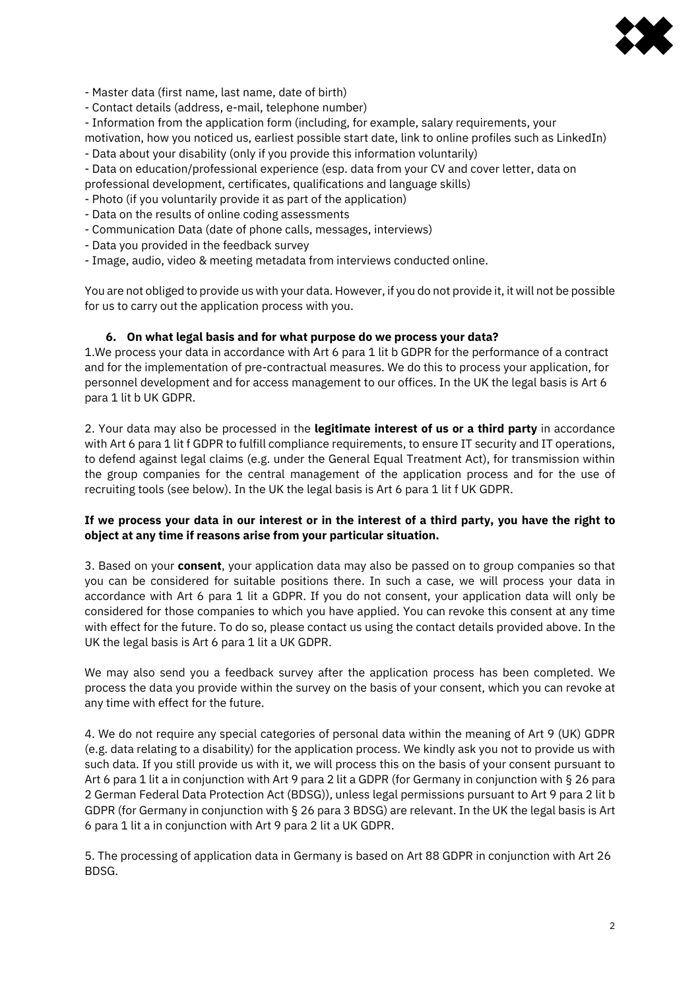

- Master data (first name, last name, date of birth)

- Contact details (address, e-mail, telephone number)

- Information from the application form (including, for example, salary requirements, your

- motivation, how you noticed us, earliest possible start date, link to online profiles such as LinkedIn) - Data about your disability (only if you provide this information voluntarily)
- Data on education/professional experience (esp. data from your CV and cover letter, data on
- professional development, certificates, qualifications and language skills)
- Photo (if you voluntarily provide it as part of the application)
- Data on the results of online coding assessments
- Communication Data (date of phone calls, messages, interviews)
- Data you provided in the feedback survey
- Image, audio, video & meeting metadata from interviews conducted online.

You are not obliged to provide us with your data. However, if you do not provide it, it will not be possible for us to carry out the application process with you.

## **6. On what legal basis and for what purpose do we process your data?**

1.We process your data in accordance with Art 6 para 1 lit b GDPR for the performance of a contract and for the implementation of pre-contractual measures. We do this to process your application, for personnel development and for access management to our offices. In the UK the legal basis is Art 6 para 1 lit b UK GDPR.

2. Your data may also be processed in the **legitimate interest of us or a third party** in accordance with Art 6 para 1 lit f GDPR to fulfill compliance requirements, to ensure IT security and IT operations, to defend against legal claims (e.g. under the General Equal Treatment Act), for transmission within the group companies for the central management of the application process and for the use of recruiting tools (see below). In the UK the legal basis is Art 6 para 1 lit f UK GDPR.

## If we process your data in our interest or in the interest of a third party, you have the right to **object at any time if reasons arise from your particular situation.**

3. Based on your **consent**, your application data may also be passed on to group companies so that you can be considered for suitable positions there. In such a case, we will process your data in accordance with Art 6 para 1 lit a GDPR. If you do not consent, your application data will only be considered for those companies to which you have applied. You can revoke this consent at any time with effect for the future. To do so, please contact us using the contact details provided above. In the UK the legal basis is Art 6 para 1 lit a UK GDPR.

We may also send you a feedback survey after the application process has been completed. We process the data you provide within the survey on the basis of your consent, which you can revoke at any time with effect for the future.

4. We do not require any special categories of personal data within the meaning of Art 9 (UK) GDPR (e.g. data relating to a disability) for the application process. We kindly ask you not to provide us with such data. If you still provide us with it, we will process this on the basis of your consent pursuant to Art 6 para 1 lit a in conjunction with Art 9 para 2 lit a GDPR (for Germany in conjunction with § 26 para 2 German Federal Data Protection Act (BDSG)), unless legal permissions pursuant to Art 9 para 2 lit b GDPR (for Germany in conjunction with § 26 para 3 BDSG) are relevant. In the UK the legal basis is Art 6 para 1 lit a in conjunction with Art 9 para 2 lit a UK GDPR.

5. The processing of application data in Germany is based on Art 88 GDPR in conjunction with Art 26 BDSG.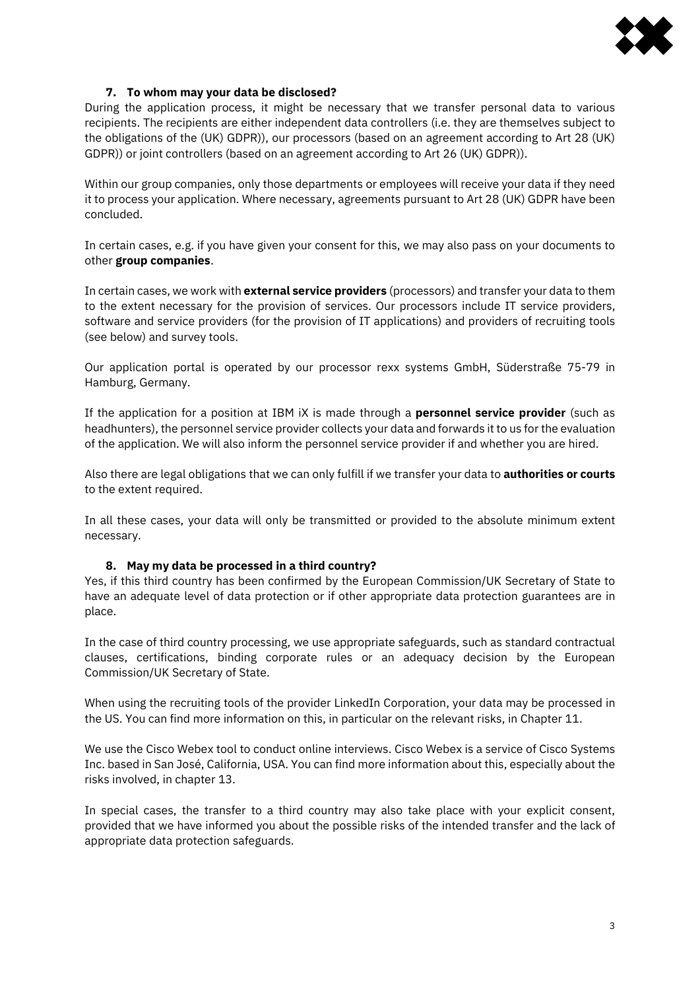

#### **7. To whom may your data be disclosed?**

During the application process, it might be necessary that we transfer personal data to various recipients. The recipients are either independent data controllers (i.e. they are themselves subject to the obligations of the (UK) GDPR)), our processors (based on an agreement according to Art 28 (UK) GDPR)) or joint controllers (based on an agreement according to Art 26 (UK) GDPR)).

Within our group companies, only those departments or employees will receive your data if they need it to process your application. Where necessary, agreements pursuant to Art 28 (UK) GDPR have been concluded.

In certain cases, e.g. if you have given your consent for this, we may also pass on your documents to other **group companies**.

In certain cases, we work with **external service providers** (processors) and transfer your data to them to the extent necessary for the provision of services. Our processors include IT service providers, software and service providers (for the provision of IT applications) and providers of recruiting tools (see below) and survey tools.

Our application portal is operated by our processor rexx systems GmbH, Süderstraße 75-79 in Hamburg, Germany.

If the application for a position at IBM iX is made through a **personnel service provider** (such as headhunters), the personnel service provider collects your data and forwards it to us for the evaluation of the application. We will also inform the personnel service provider if and whether you are hired.

Also there are legal obligations that we can only fulfill if we transfer your data to **authorities or courts** to the extent required.

In all these cases, your data will only be transmitted or provided to the absolute minimum extent necessary.

#### **8. May my data be processed in a third country?**

Yes, if this third country has been confirmed by the European Commission/UK Secretary of State to have an adequate level of data protection or if other appropriate data protection guarantees are in place.

In the case of third country processing, we use appropriate safeguards, such as standard contractual clauses, certifications, binding corporate rules or an adequacy decision by the European Commission/UK Secretary of State.

When using the recruiting tools of the provider LinkedIn Corporation, your data may be processed in the US. You can find more information on this, in particular on the relevant risks, in Chapter 11.

We use the Cisco Webex tool to conduct online interviews. Cisco Webex is a service of Cisco Systems Inc. based in San José, California, USA. You can find more information about this, especially about the risks involved, in chapter 13.

In special cases, the transfer to a third country may also take place with your explicit consent, provided that we have informed you about the possible risks of the intended transfer and the lack of appropriate data protection safeguards.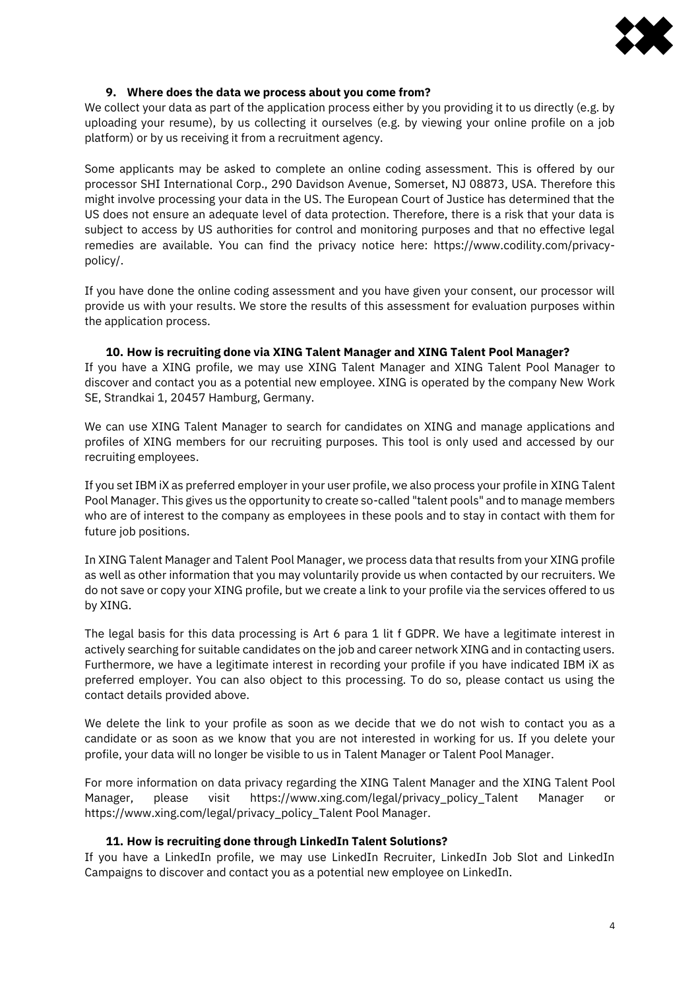

#### **9. Where does the data we process about you come from?**

We collect your data as part of the application process either by you providing it to us directly (e.g. by uploading your resume), by us collecting it ourselves (e.g. by viewing your online profile on a job platform) or by us receiving it from a recruitment agency.

Some applicants may be asked to complete an online coding assessment. This is offered by our processor SHI International Corp., 290 Davidson Avenue, Somerset, NJ 08873, USA. Therefore this might involve processing your data in the US. The European Court of Justice has determined that the US does not ensure an adequate level of data protection. Therefore, there is a risk that your data is subject to access by US authorities for control and monitoring purposes and that no effective legal remedies are available. You can find the privacy notice here: https://www.codility.com/privacypolicy/.

If you have done the online coding assessment and you have given your consent, our processor will provide us with your results. We store the results of this assessment for evaluation purposes within the application process.

**10. How is recruiting done via XING Talent Manager and XING Talent Pool Manager?**  If you have a XING profile, we may use XING Talent Manager and XING Talent Pool Manager to discover and contact you as a potential new employee. XING is operated by the company New Work SE, Strandkai 1, 20457 Hamburg, Germany.

We can use XING Talent Manager to search for candidates on XING and manage applications and profiles of XING members for our recruiting purposes. This tool is only used and accessed by our recruiting employees.

If you set IBM iX as preferred employer in your user profile, we also process your profile in XING Talent Pool Manager. This gives us the opportunity to create so-called "talent pools" and to manage members who are of interest to the company as employees in these pools and to stay in contact with them for future job positions.

In XING Talent Manager and Talent Pool Manager, we process data that results from your XING profile as well as other information that you may voluntarily provide us when contacted by our recruiters. We do not save or copy your XING profile, but we create a link to your profile via the services offered to us by XING.

The legal basis for this data processing is Art 6 para 1 lit f GDPR. We have a legitimate interest in actively searching for suitable candidates on the job and career network XING and in contacting users. Furthermore, we have a legitimate interest in recording your profile if you have indicated IBM iX as preferred employer. You can also object to this processing. To do so, please contact us using the contact details provided above.

We delete the link to your profile as soon as we decide that we do not wish to contact you as a candidate or as soon as we know that you are not interested in working for us. If you delete your profile, your data will no longer be visible to us in Talent Manager or Talent Pool Manager.

For more information on data privacy regarding the XING Talent Manager and the XING Talent Pool Manager, please visit https://www.xing.com/legal/privacy\_policy\_Talent Manager or https://www.xing.com/legal/privacy\_policy\_Talent Pool Manager.

#### **11. How is recruiting done through LinkedIn Talent Solutions?**

If you have a LinkedIn profile, we may use LinkedIn Recruiter, LinkedIn Job Slot and LinkedIn Campaigns to discover and contact you as a potential new employee on LinkedIn.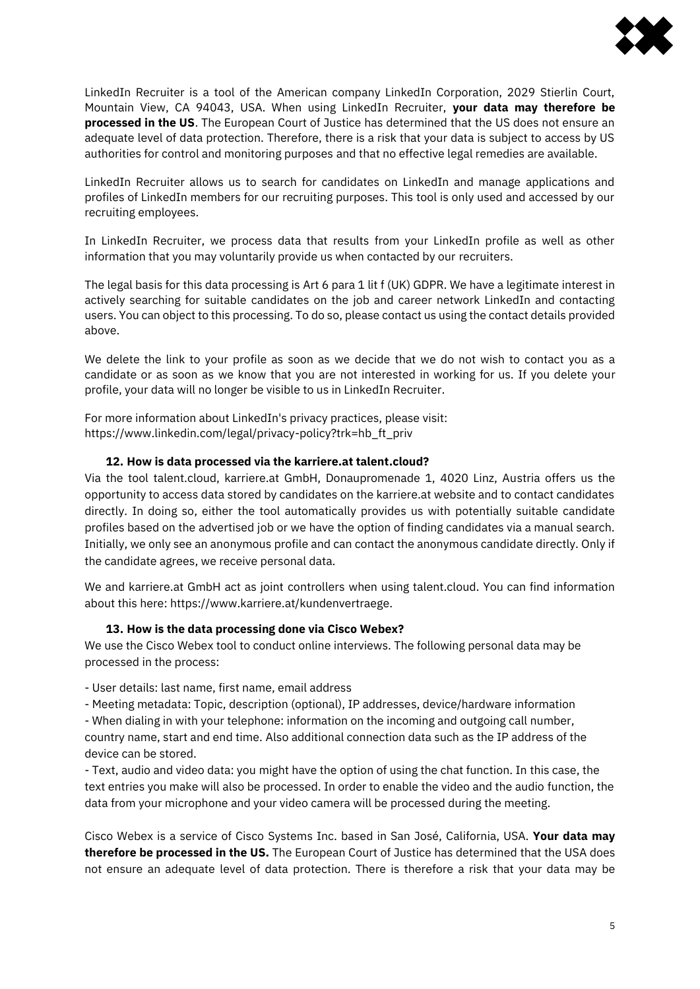

LinkedIn Recruiter is a tool of the American company LinkedIn Corporation, 2029 Stierlin Court, Mountain View, CA 94043, USA. When using LinkedIn Recruiter, **your data may therefore be processed in the US**. The European Court of Justice has determined that the US does not ensure an adequate level of data protection. Therefore, there is a risk that your data is subject to access by US authorities for control and monitoring purposes and that no effective legal remedies are available.

LinkedIn Recruiter allows us to search for candidates on LinkedIn and manage applications and profiles of LinkedIn members for our recruiting purposes. This tool is only used and accessed by our recruiting employees.

In LinkedIn Recruiter, we process data that results from your LinkedIn profile as well as other information that you may voluntarily provide us when contacted by our recruiters.

The legal basis for this data processing is Art 6 para 1 lit f (UK) GDPR. We have a legitimate interest in actively searching for suitable candidates on the job and career network LinkedIn and contacting users. You can object to this processing. To do so, please contact us using the contact details provided above.

We delete the link to your profile as soon as we decide that we do not wish to contact you as a candidate or as soon as we know that you are not interested in working for us. If you delete your profile, your data will no longer be visible to us in LinkedIn Recruiter.

For more information about LinkedIn's privacy practices, please visit: https://www.linkedin.com/legal/privacy-policy?trk=hb\_ft\_priv

## **12. How is data processed via the karriere.at talent.cloud?**

Via the tool talent.cloud, karriere.at GmbH, Donaupromenade 1, 4020 Linz, Austria offers us the opportunity to access data stored by candidates on the karriere.at website and to contact candidates directly. In doing so, either the tool automatically provides us with potentially suitable candidate profiles based on the advertised job or we have the option of finding candidates via a manual search. Initially, we only see an anonymous profile and can contact the anonymous candidate directly. Only if the candidate agrees, we receive personal data.

We and karriere.at GmbH act as joint controllers when using talent.cloud. You can find information about this here: https://www.karriere.at/kundenvertraege.

#### **13. How is the data processing done via Cisco Webex?**

We use the Cisco Webex tool to conduct online interviews. The following personal data may be processed in the process:

- User details: last name, first name, email address

- Meeting metadata: Topic, description (optional), IP addresses, device/hardware information - When dialing in with your telephone: information on the incoming and outgoing call number,

country name, start and end time. Also additional connection data such as the IP address of the device can be stored.

- Text, audio and video data: you might have the option of using the chat function. In this case, the text entries you make will also be processed. In order to enable the video and the audio function, the data from your microphone and your video camera will be processed during the meeting.

Cisco Webex is a service of Cisco Systems Inc. based in San José, California, USA. **Your data may therefore be processed in the US.** The European Court of Justice has determined that the USA does not ensure an adequate level of data protection. There is therefore a risk that your data may be